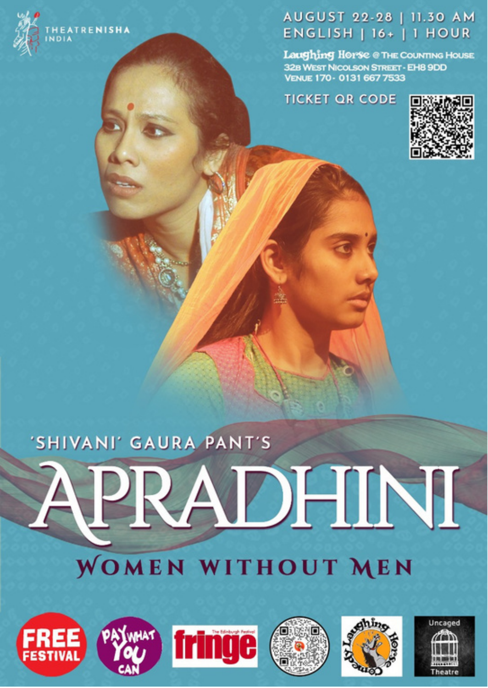

HEATRENISHA

## AUGUST 22-28 | 11.30 AM **ENGLISH | 16+ | 1 HOUR**

Laughing Horse @ THE COUNTING HOUSE 32B WEST NICOLSON STREET - EH8 9DD<br>VENUE 170 - 0131 667 7533

**TICKET OR CODE** 



## 'SHIVANI' GAURA PANT'S